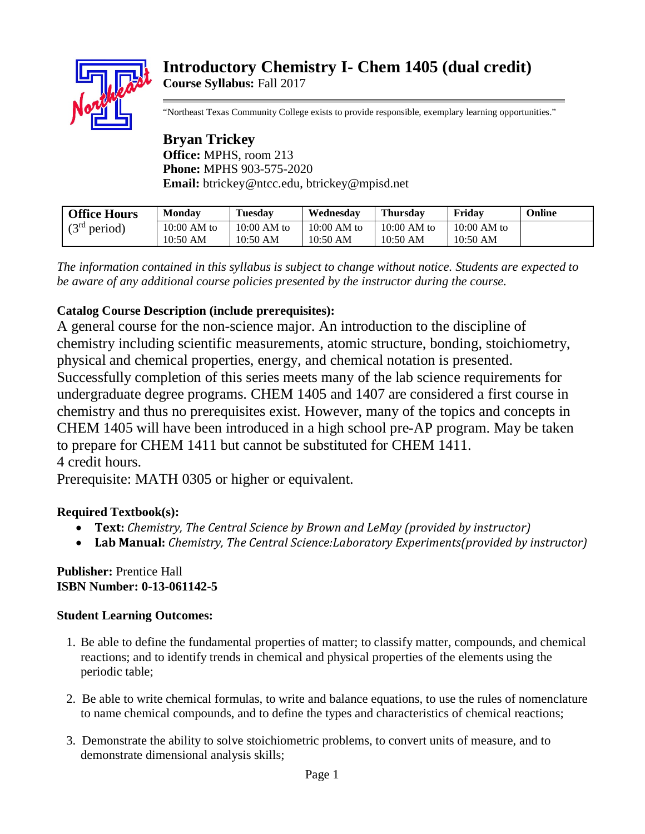# **Introductory Chemistry I- Chem 1405 (dual credit) Course Syllabus:** Fall 2017



"Northeast Texas Community College exists to provide responsible, exemplary learning opportunities."

**Bryan Trickey Office:** MPHS, room 213 **Phone:** MPHS 903-575-2020 **Email:** btrickey@ntcc.edu, btrickey@mpisd.net

| <b>Office Hours</b>      | <b>Monday</b> | <b>Tuesday</b> | Wednesdav     | <b>Thursday</b> | Fridav        | Online |
|--------------------------|---------------|----------------|---------------|-----------------|---------------|--------|
| (3 <sup>rd</sup> period) | $10:00$ AM to | $10:00$ AM to  | $10:00$ AM to | $10:00$ AM to   | $10:00$ AM to |        |
|                          | $10:50$ AM    | $10:50$ AM     | 10:50 AM      | 10:50 AM        | 10:50 AM      |        |

*The information contained in this syllabus is subject to change without notice. Students are expected to be aware of any additional course policies presented by the instructor during the course.* 

# **Catalog Course Description (include prerequisites):**

A general course for the non-science major. An introduction to the discipline of chemistry including scientific measurements, atomic structure, bonding, stoichiometry, physical and chemical properties, energy, and chemical notation is presented. Successfully completion of this series meets many of the lab science requirements for undergraduate degree programs. CHEM 1405 and 1407 are considered a first course in chemistry and thus no prerequisites exist. However, many of the topics and concepts in CHEM 1405 will have been introduced in a high school pre-AP program. May be taken to prepare for CHEM 1411 but cannot be substituted for CHEM 1411. 4 credit hours.

Prerequisite: MATH 0305 or higher or equivalent.

## **Required Textbook(s):**

- **Text:** *Chemistry, The Central Science by Brown and LeMay (provided by instructor)*
- **Lab Manual:** *Chemistry, The Central Science:Laboratory Experiments(provided by instructor)*

### **Publisher:** Prentice Hall **ISBN Number: 0-13-061142-5**

## **Student Learning Outcomes:**

- 1. Be able to define the fundamental properties of matter; to classify matter, compounds, and chemical reactions; and to identify trends in chemical and physical properties of the elements using the periodic table;
- 2. Be able to write chemical formulas, to write and balance equations, to use the rules of nomenclature to name chemical compounds, and to define the types and characteristics of chemical reactions;
- 3. Demonstrate the ability to solve stoichiometric problems, to convert units of measure, and to demonstrate dimensional analysis skills;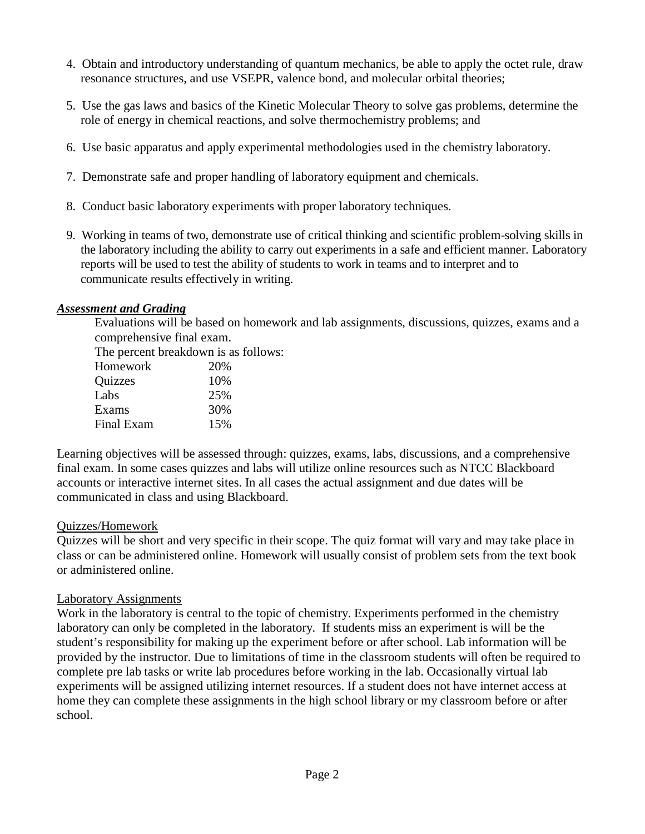- 4. Obtain and introductory understanding of quantum mechanics, be able to apply the octet rule, draw resonance structures, and use VSEPR, valence bond, and molecular orbital theories;
- 5. Use the gas laws and basics of the Kinetic Molecular Theory to solve gas problems, determine the role of energy in chemical reactions, and solve thermochemistry problems; and
- 6. Use basic apparatus and apply experimental methodologies used in the chemistry laboratory.
- 7. Demonstrate safe and proper handling of laboratory equipment and chemicals.
- 8. Conduct basic laboratory experiments with proper laboratory techniques.
- 9. Working in teams of two, demonstrate use of critical thinking and scientific problem-solving skills in the laboratory including the ability to carry out experiments in a safe and efficient manner. Laboratory reports will be used to test the ability of students to work in teams and to interpret and to communicate results effectively in writing.

#### *Assessment and Grading*

Evaluations will be based on homework and lab assignments, discussions, quizzes, exams and a comprehensive final exam.

The percent breakdown is as follows: Homework 20% Quizzes 10% Labs  $25\%$ Exams 30% Final Exam 15%

Learning objectives will be assessed through: quizzes, exams, labs, discussions, and a comprehensive final exam. In some cases quizzes and labs will utilize online resources such as NTCC Blackboard accounts or interactive internet sites. In all cases the actual assignment and due dates will be communicated in class and using Blackboard.

#### Quizzes/Homework

Quizzes will be short and very specific in their scope. The quiz format will vary and may take place in class or can be administered online. Homework will usually consist of problem sets from the text book or administered online.

#### Laboratory Assignments

Work in the laboratory is central to the topic of chemistry. Experiments performed in the chemistry laboratory can only be completed in the laboratory. If students miss an experiment is will be the student's responsibility for making up the experiment before or after school. Lab information will be provided by the instructor. Due to limitations of time in the classroom students will often be required to complete pre lab tasks or write lab procedures before working in the lab. Occasionally virtual lab experiments will be assigned utilizing internet resources. If a student does not have internet access at home they can complete these assignments in the high school library or my classroom before or after school.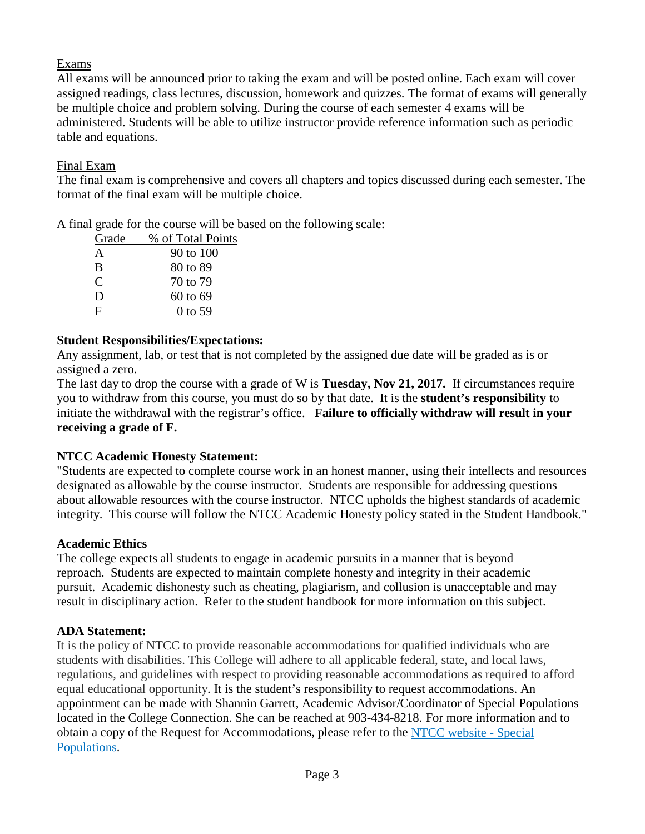### Exams

All exams will be announced prior to taking the exam and will be posted online. Each exam will cover assigned readings, class lectures, discussion, homework and quizzes. The format of exams will generally be multiple choice and problem solving. During the course of each semester 4 exams will be administered. Students will be able to utilize instructor provide reference information such as periodic table and equations.

### Final Exam

The final exam is comprehensive and covers all chapters and topics discussed during each semester. The format of the final exam will be multiple choice.

A final grade for the course will be based on the following scale:

| Grade         | % of Total Points |
|---------------|-------------------|
| A             | 90 to 100         |
| B             | 80 to 89          |
| $\mathcal{C}$ | 70 to 79          |
| D             | 60 to 69          |
| F             | $0$ to 59         |
|               |                   |

### **Student Responsibilities/Expectations:**

Any assignment, lab, or test that is not completed by the assigned due date will be graded as is or assigned a zero.

The last day to drop the course with a grade of W is **Tuesday, Nov 21, 2017.** If circumstances require you to withdraw from this course, you must do so by that date. It is the **student's responsibility** to initiate the withdrawal with the registrar's office. **Failure to officially withdraw will result in your receiving a grade of F.**

### **NTCC Academic Honesty Statement:**

"Students are expected to complete course work in an honest manner, using their intellects and resources designated as allowable by the course instructor. Students are responsible for addressing questions about allowable resources with the course instructor. NTCC upholds the highest standards of academic integrity. This course will follow the NTCC Academic Honesty policy stated in the Student Handbook."

### **Academic Ethics**

The college expects all students to engage in academic pursuits in a manner that is beyond reproach. Students are expected to maintain complete honesty and integrity in their academic pursuit. Academic dishonesty such as cheating, plagiarism, and collusion is unacceptable and may result in disciplinary action. Refer to the student handbook for more information on this subject.

## **ADA Statement:**

It is the policy of NTCC to provide reasonable accommodations for qualified individuals who are students with disabilities. This College will adhere to all applicable federal, state, and local laws, regulations, and guidelines with respect to providing reasonable accommodations as required to afford equal educational opportunity. It is the student's responsibility to request accommodations. An appointment can be made with Shannin Garrett, Academic Advisor/Coordinator of Special Populations located in the College Connection. She can be reached at 903-434-8218. For more information and to obtain a copy of the Request for Accommodations, please refer to the [NTCC website -](http://www.ntcc.edu/index.php?module=Pagesetter&func=viewpub&tid=111&pid=1) Special [Populations.](http://www.ntcc.edu/index.php?module=Pagesetter&func=viewpub&tid=111&pid=1)